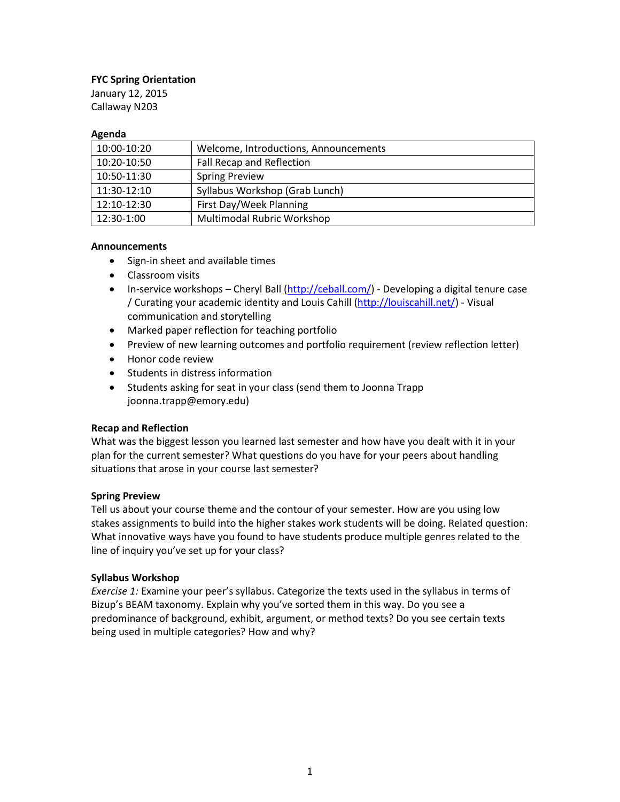### **FYC Spring Orientation**

January 12, 2015 Callaway N203

#### **Agenda**

| 10:00-10:20 | Welcome, Introductions, Announcements |
|-------------|---------------------------------------|
| 10:20-10:50 | Fall Recap and Reflection             |
| 10:50-11:30 | <b>Spring Preview</b>                 |
| 11:30-12:10 | Syllabus Workshop (Grab Lunch)        |
| 12:10-12:30 | First Day/Week Planning               |
| 12:30-1:00  | <b>Multimodal Rubric Workshop</b>     |

#### **Announcements**

- Sign-in sheet and available times
- Classroom visits
- **•** In-service workshops Cheryl Ball [\(http://ceball.com/\)](http://ceball.com/) Developing a digital tenure case / Curating your academic identity and Louis Cahill [\(http://louiscahill.net/\)](http://louiscahill.net/) - Visual communication and storytelling
- Marked paper reflection for teaching portfolio
- Preview of new learning outcomes and portfolio requirement (review reflection letter)
- Honor code review
- Students in distress information
- Students asking for seat in your class (send them to Joonna Trapp joonna.trapp@emory.edu)

#### **Recap and Reflection**

What was the biggest lesson you learned last semester and how have you dealt with it in your plan for the current semester? What questions do you have for your peers about handling situations that arose in your course last semester?

#### **Spring Preview**

Tell us about your course theme and the contour of your semester. How are you using low stakes assignments to build into the higher stakes work students will be doing. Related question: What innovative ways have you found to have students produce multiple genres related to the line of inquiry you've set up for your class?

#### **Syllabus Workshop**

*Exercise 1:* Examine your peer's syllabus. Categorize the texts used in the syllabus in terms of Bizup's BEAM taxonomy. Explain why you've sorted them in this way. Do you see a predominance of background, exhibit, argument, or method texts? Do you see certain texts being used in multiple categories? How and why?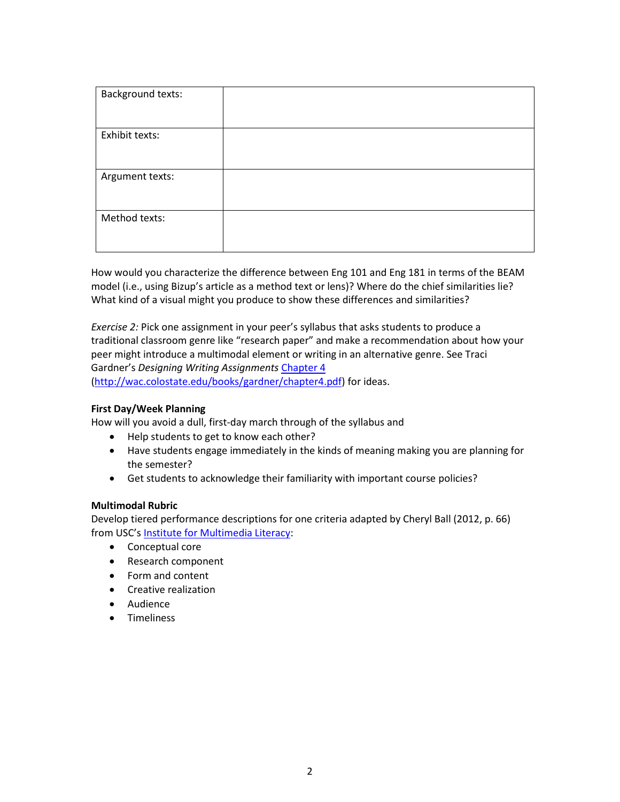| <b>Background texts:</b> |  |
|--------------------------|--|
| Exhibit texts:           |  |
|                          |  |
|                          |  |
| Argument texts:          |  |
|                          |  |
| Method texts:            |  |
|                          |  |
|                          |  |

How would you characterize the difference between Eng 101 and Eng 181 in terms of the BEAM model (i.e., using Bizup's article as a method text or lens)? Where do the chief similarities lie? What kind of a visual might you produce to show these differences and similarities?

*Exercise 2:* Pick one assignment in your peer's syllabus that asks students to produce a traditional classroom genre like "research paper" and make a recommendation about how your peer might introduce a multimodal element or writing in an alternative genre. See Traci Gardner's *Designing Writing Assignments* [Chapter 4](http://wac.colostate.edu/books/gardner/chapter4.pdf)

[\(http://wac.colostate.edu/books/gardner/chapter4.pdf\)](http://wac.colostate.edu/books/gardner/chapter4.pdf) for ideas.

#### **First Day/Week Planning**

How will you avoid a dull, first-day march through of the syllabus and

- Help students to get to know each other?
- Have students engage immediately in the kinds of meaning making you are planning for the semester?
- Get students to acknowledge their familiarity with important course policies?

#### **Multimodal Rubric**

Develop tiered performance descriptions for one criteria adapted by Cheryl Ball (2012, p. 66) from USC's [Institute for Multimedia Literacy:](http://cinema.usc.edu/faculty/iml.cfm)

- Conceptual core
- Research component
- Form and content
- **•** Creative realization
- Audience
- **•** Timeliness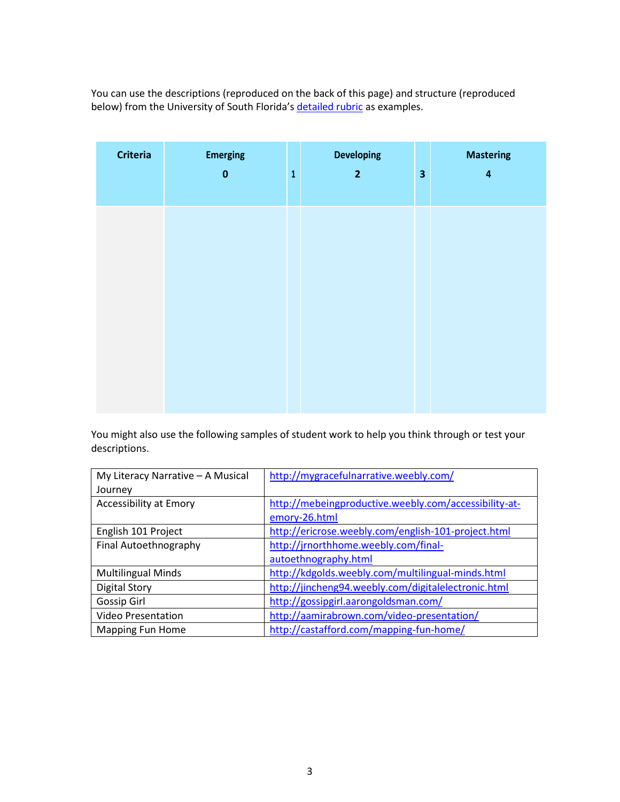You can use the descriptions (reproduced on the back of this page) and structure (reproduced below) from the University of South Florida's [detailed rubric](http://myreviewers.com/wp-content/uploads/2013/05/MyReviewersRubric.pdf) as examples.

| <b>Criteria</b> | <b>Emerging</b><br>$\bf{0}$ | $\overline{1}$ | <b>Developing</b><br>$\overline{2}$ | $\overline{\mathbf{3}}$ | <b>Mastering</b><br>$\overline{\mathbf{4}}$ |
|-----------------|-----------------------------|----------------|-------------------------------------|-------------------------|---------------------------------------------|
|                 |                             |                |                                     |                         |                                             |
|                 |                             |                |                                     |                         |                                             |
|                 |                             |                |                                     |                         |                                             |
|                 |                             |                |                                     |                         |                                             |

You might also use the following samples of student work to help you think through or test your descriptions.

| My Literacy Narrative - A Musical | http://mygracefulnarrative.weebly.com/                |
|-----------------------------------|-------------------------------------------------------|
| Journey                           |                                                       |
| Accessibility at Emory            | http://mebeingproductive.weebly.com/accessibility-at- |
|                                   | emory-26.html                                         |
| English 101 Project               | http://ericrose.weebly.com/english-101-project.html   |
| Final Autoethnography             | http://jrnorthhome.weebly.com/final-                  |
|                                   | autoethnography.html                                  |
| <b>Multilingual Minds</b>         | http://kdgolds.weebly.com/multilingual-minds.html     |
| <b>Digital Story</b>              | http://jincheng94.weebly.com/digitalelectronic.html   |
| Gossip Girl                       | http://gossipgirl.aarongoldsman.com/                  |
| <b>Video Presentation</b>         | http://aamirabrown.com/video-presentation/            |
| Mapping Fun Home                  | http://castafford.com/mapping-fun-home/               |